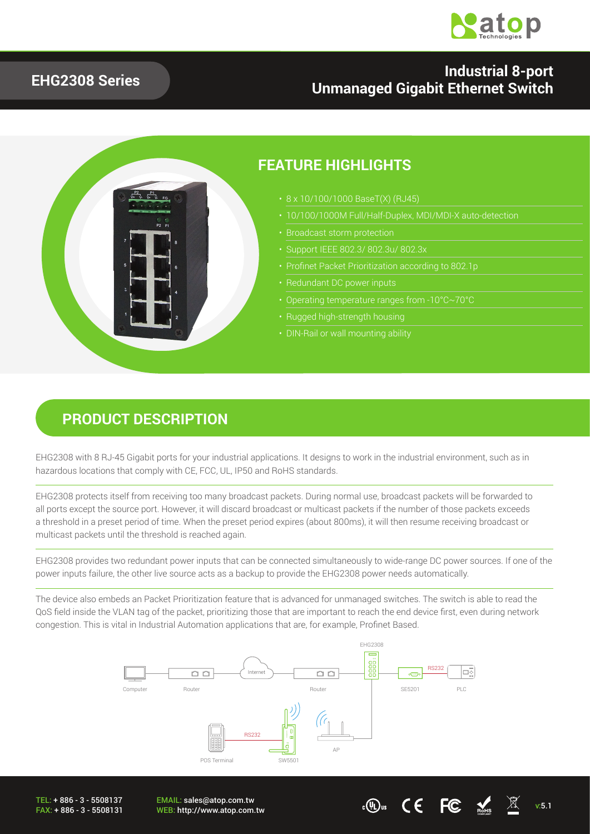

#### **EHG2308 Series**

#### **Industrial 8-port Unmanaged Gigabit Ethernet Switch**



#### **PRODUCT DESCRIPTION**

EHG2308 with 8 RJ-45 Gigabit ports for your industrial applications. It designs to work in the industrial environment, such as in hazardous locations that comply with CE, FCC, UL, IP50 and RoHS standards.

EHG2308 protects itself from receiving too many broadcast packets. During normal use, broadcast packets will be forwarded to all ports except the source port. However, it will discard broadcast or multicast packets if the number of those packets exceeds a threshold in a preset period of time. When the preset period expires (about 800ms), it will then resume receiving broadcast or multicast packets until the threshold is reached again.

EHG2308 provides two redundant power inputs that can be connected simultaneously to wide-range DC power sources. If one of the power inputs failure, the other live source acts as a backup to provide the EHG2308 power needs automatically.

The device also embeds an Packet Prioritization feature that is advanced for unmanaged switches. The switch is able to read the QoS field inside the VLAN tag of the packet, prioritizing those that are important to reach the end device first, even during network congestion. This is vital in Industrial Automation applications that are, for example, Profinet Based.



TEL: + 886 - 3 - 5508137 FAX: + 886 - 3 - 5508131 EMAIL: sales@atop.com.tw

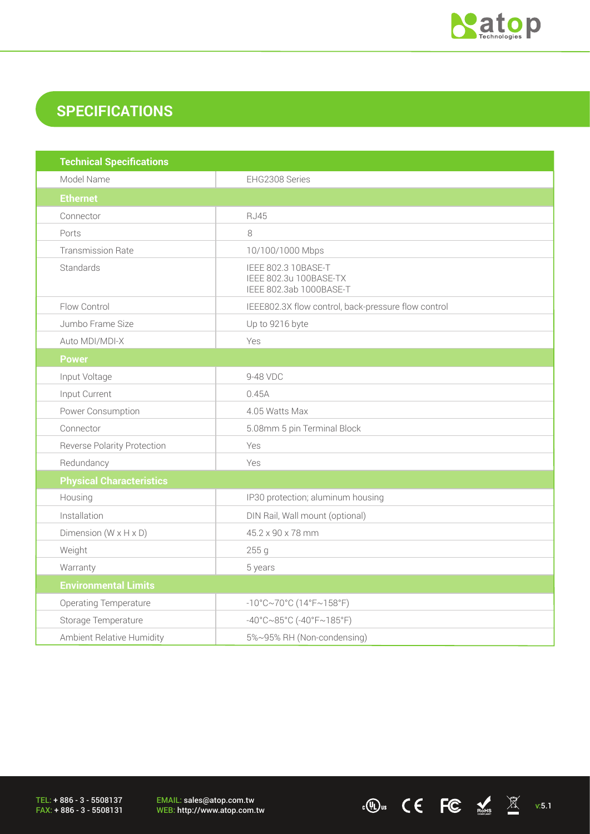

### **SPECIFICATIONS**

| <b>Technical Specifications</b>    |                                                                          |  |  |  |
|------------------------------------|--------------------------------------------------------------------------|--|--|--|
| Model Name                         | EHG2308 Series                                                           |  |  |  |
| <b>Ethernet</b>                    |                                                                          |  |  |  |
| Connector                          | <b>RJ45</b>                                                              |  |  |  |
| Ports                              | 8                                                                        |  |  |  |
| <b>Transmission Rate</b>           | 10/100/1000 Mbps                                                         |  |  |  |
| Standards                          | IEEE 802.3 10BASE-T<br>IEEE 802.3u 100BASE-TX<br>IEEE 802.3ab 1000BASE-T |  |  |  |
| Flow Control                       | IEEE802.3X flow control, back-pressure flow control                      |  |  |  |
| Jumbo Frame Size                   | Up to 9216 byte                                                          |  |  |  |
| Auto MDI/MDI-X                     | Yes                                                                      |  |  |  |
| <b>Power</b>                       |                                                                          |  |  |  |
| Input Voltage                      | 9-48 VDC                                                                 |  |  |  |
| Input Current                      | 0.45A                                                                    |  |  |  |
| Power Consumption                  | 4.05 Watts Max                                                           |  |  |  |
| Connector                          | 5.08mm 5 pin Terminal Block                                              |  |  |  |
| <b>Reverse Polarity Protection</b> | Yes                                                                      |  |  |  |
| Redundancy                         | Yes                                                                      |  |  |  |
| <b>Physical Characteristics</b>    |                                                                          |  |  |  |
| Housing                            | IP30 protection; aluminum housing                                        |  |  |  |
| Installation                       | DIN Rail, Wall mount (optional)                                          |  |  |  |
| Dimension $(W \times H \times D)$  | 45.2 x 90 x 78 mm                                                        |  |  |  |
| Weight                             | 255 g                                                                    |  |  |  |
| Warranty                           | 5 years                                                                  |  |  |  |
| <b>Environmental Limits</b>        |                                                                          |  |  |  |
| Operating Temperature              | $-10^{\circ}$ C~70°C (14°F~158°F)                                        |  |  |  |
| Storage Temperature                | $-40^{\circ}$ C $\sim$ 85°C (-40°F $\sim$ 185°F)                         |  |  |  |
| Ambient Relative Humidity          | 5%~95% RH (Non-condensing)                                               |  |  |  |

TEL: + 886 - 3 - 5508137 FAX: + 886 - 3 - 5508131 EMAIL: sales@atop.com.tw<br>WEB: http://www.atop.com.tw

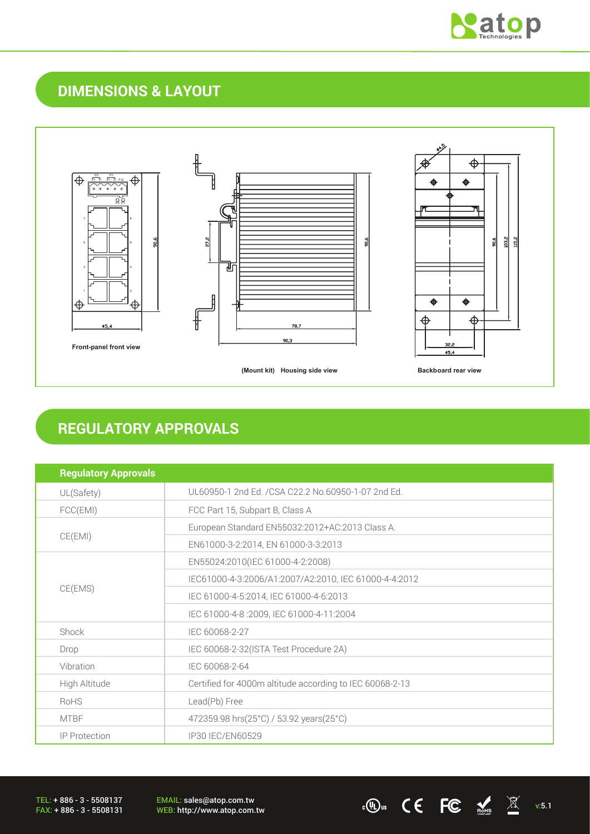

## **DIMENSIONS & LAYOUT**



#### **REGULATORY APPROVALS**

| <b>Regulatory Approvals</b> |                                                          |  |
|-----------------------------|----------------------------------------------------------|--|
| UL(Safety)                  | UL60950-1 2nd Ed. /CSA C22.2 No.60950-1-07 2nd Ed.       |  |
| FCC(EMI)                    | FCC Part 15, Subpart B, Class A                          |  |
|                             | European Standard EN55032:2012+AC:2013 Class A.          |  |
| CE(EMI)                     | EN61000-3-2:2014, EN 61000-3-3:2013                      |  |
|                             | EN55024:2010(IEC 61000-4-2:2008)                         |  |
|                             | IEC61000-4-3:2006/A1:2007/A2:2010, IEC 61000-4-4:2012    |  |
| CE(EMS)                     | IEC 61000-4-5:2014, IEC 61000-4-6:2013                   |  |
|                             | IEC 61000-4-8 :2009, IEC 61000-4-11:2004                 |  |
| Shock                       | IEC 60068-2-27                                           |  |
| Drop                        | IEC 60068-2-32(ISTA Test Procedure 2A)                   |  |
| Vibration                   | IEC 60068-2-64                                           |  |
| High Altitude               | Certified for 4000m altitude according to IEC 60068-2-13 |  |
| <b>RoHS</b>                 | Lead(Pb) Free                                            |  |
| <b>MTBF</b>                 | 472359.98 hrs(25°C) / 53.92 years(25°C)                  |  |
| <b>IP Protection</b>        | IP30 IEC/EN60529                                         |  |

EMAIL: sales@atop.com.tw EMAIL: sales@atop.com.tw<br>WEB: http://www.atop.com.tw **v:5.1** cODus  $\mathsf{CC}$   $\mathsf{FC}$  ass  $\mathbb{X}$  v:5.1